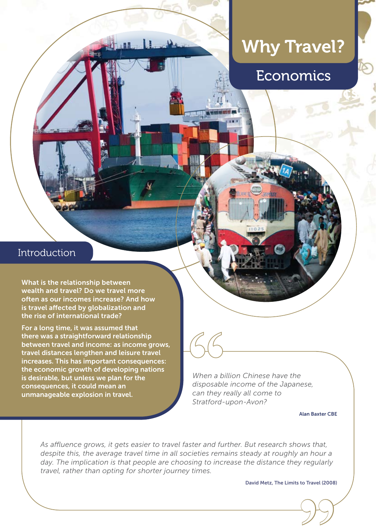

# Why Travel? Why Travel?



Economics

## **Introduction**

What is the relationship between wealth and travel? Do we travel more often as our incomes increase? And how is travel affected by globalization and the rise of international trade?

For a long time, it was assumed that there was a straightforward relationship between travel and income: as income grows, travel distances lengthen and leisure travel increases. This has important consequences: the economic growth of developing nations is desirable, but unless we plan for the consequences, it could mean an unmanageable explosion in travel.

*When a billion Chinese have the disposable income of the Japanese, can they really all come to Stratford-upon-Avon?* **66**<br>When a bidisposable<br>can they n

Alan Baxter CBE

*As affluence grows, it gets easier to travel faster and further. But research shows that, despite this, the average travel time in all societies remains steady at roughly an hour a day. The implication is that people are choosing to increase the distance they regularly travel, rather than opting for shorter journey times.*

David Metz, The Limits to Travel (2008) to Travel (2008)<br>(<br>( ) <sup>(</sup> ) <sup>(</sup> ) <sup>(</sup> ) <sup>)</sup>